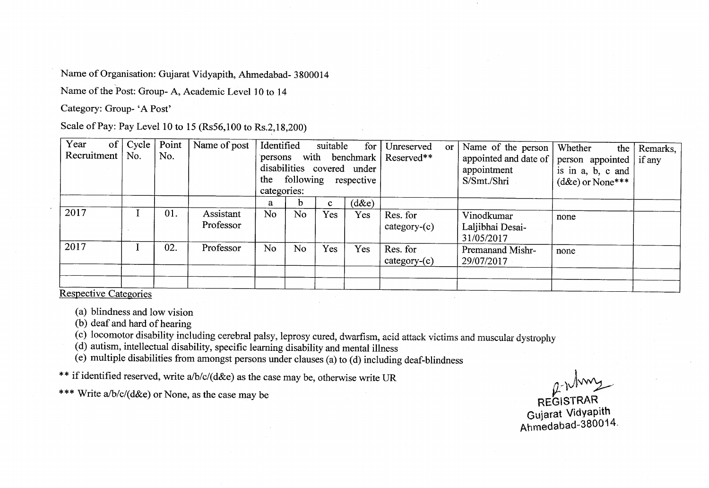Name of Organisation: Gujarat Vidyapith, Ahmedabad- 3800014

Name of the Post: Group- A, Academic Level 10 to 14

Category: Group- 'A Post'

Scale of Pay: Pay Level 10 to 15 (Rs56,100 to Rs.2,18,200)

| Year<br>of<br>Recruitment | Cycle<br>No. | No. | Point   Name of post   | Identified<br>suitable<br>for<br>with<br>benchmark  <br>persons<br>disabilities covered under<br>following respective<br>the<br>categories: |                |              |          | Unreserved<br>Reserved**   | <b>or</b> | Name of the person<br>appointed and date of<br>appointment<br>S/Smt./Shri | Whether<br>the<br>person appointed  <br>is in a, b, c and<br>$(d\&e)$ or None*** | Remarks,<br>if any |
|---------------------------|--------------|-----|------------------------|---------------------------------------------------------------------------------------------------------------------------------------------|----------------|--------------|----------|----------------------------|-----------|---------------------------------------------------------------------------|----------------------------------------------------------------------------------|--------------------|
|                           |              |     |                        | a                                                                                                                                           | n.             | $\mathbf{c}$ | $(d\&e)$ |                            |           |                                                                           |                                                                                  |                    |
| 2017                      |              | 01. | Assistant<br>Professor | N <sub>o</sub>                                                                                                                              | N <sub>o</sub> | Yes          | Yes      | Res. for<br>$category-(c)$ |           | Vinodkumar<br>Laljibhai Desai-<br>31/05/2017                              | none                                                                             |                    |
| 2017                      |              | 02. | Professor              | <b>No</b>                                                                                                                                   | No.            | Yes          | Yes      | Res. for<br>$category-(c)$ |           | <b>Premanand Mishr-</b><br>29/07/2017                                     | none                                                                             |                    |
| $\sim$ $\sim$             |              |     |                        |                                                                                                                                             |                |              |          |                            |           |                                                                           |                                                                                  |                    |

Respective Categories

(a) blindness and low vision

(b) deaf and hard of hearing

(c) locomotor disability including cerebral palsy, leprosy cured, dwarfism, acid attack victims and muscular dystrophy

(d) autism, intellectual disability, specific learning disability and mental illness

(e) multiple disabilities from amongst persons under clauses (a) to (d) including deaf-blindness

\*\* if identified reserved, write a/b/c/(d&e) as the case may be, otherwise write UR

\*\*\* Write a/b/c/( $d$ &e) or None, as the case may be

 $2$  Mmy

REGISTRAR Guiarat VidYaPith ntimedaUad-380014